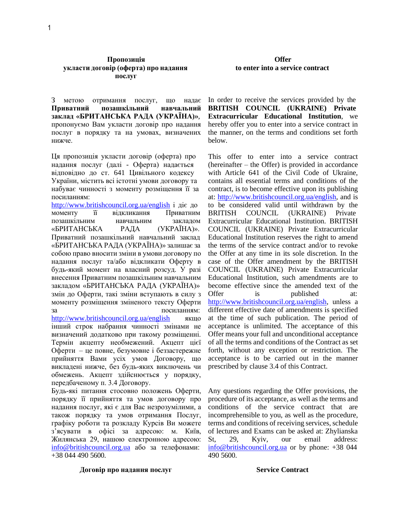### **Пропозиція Offer укласти договір (оферта) про надання послуг**

З метою отримання послуг, що надає **Приватний позашкільний навчальний заклад «БРИТАНСЬКА РАДА (УКРАЇНА)»**, пропонуємо Вам укласти договір про надання послуг в порядку та на умовах, визначених нижче.

Ця пропозиція укласти договір (оферта) про надання послуг (далі - Оферта) надається відповідно до ст. 641 Цивільного кодексу України, містить всі істотні умови договору та набуває чинності з моменту розміщення її за посиланням:

<http://www.britishcouncil.org.ua/english> і діє до моменту її відкликання Приватним позашкільним навчальним закладом «БРИТАНСЬКА РАДА (УКРАЇНА)». Приватний позашкільний навчальний заклад «БРИТАНСЬКА РАДА (УКРАЇНА)» залишає за собою право вносити зміни в умови договору по надання послуг та/або відкликати Оферту в будь-який момент на власний розсуд. У разі внесення Приватним позашкільним навчальним закладом «БРИТАНСЬКА РАДА (УКРАЇНА)» змін до Оферти, такі зміни вступають в силу з моменту розміщення зміненого тексту Оферти за посиланням: <http://www.britishcouncil.org.ua/english> якщо інший строк набрання чинності змінами не визначений додатково при такому розміщенні. Термін акцепту необмежений. Акцепт цієї Оферти – це повне, безумовне і беззастережне прийняття Вами усіх умов Договору, що викладені нижче, без будь-яких виключень чи обмежень. Акцепт здійснюється у порядку,

Будь-які питання стосовно положень Оферти, порядку її прийняття та умов договору про надання послуг, які є для Вас незрозумілими, а також порядку та умов отримання Послуг, графіку роботи та розкладу Курсів Ви можете з'ясувати в офісі за адресою: м. Київ, Жилянська 29, нашою електронною адресою: [info@britishcouncil.org.ua](mailto:info@britishcouncil.org.ua) або за телефонами: +38 044 490 5600.

передбаченому п. 3.4 Договору.

**Договір про надання послуг Service Contract**

# **to enter into a service contract**

In order to receive the services provided by the **BRITISH COUNCIL (UKRAINE) Private Extracurricular Educational Institution**, we hereby offer you to enter into a service contract in the manner, on the terms and conditions set forth below.

This offer to enter into a service contract (hereinafter – the Offer) is provided in accordance with Article 641 of the Civil Code of Ukraine, contains all essential terms and conditions of the contract, is to become effective upon its publishing at: [http://www.britishcouncil.org.ua/english,](http://www.britishcouncil.org.ua/english) and is to be considered valid until withdrawn by the BRITISH COUNCIL (UKRAINE) Private Extracurricular Educational Institution. BRITISH COUNCIL (UKRAINE) Private Extracurricular Educational Institution reserves the right to amend the terms of the service contract and/or to revoke the Offer at any time in its sole discretion. In the case of the Offer amendment by the BRITISH COUNCIL (UKRAINE) Private Extracurricular Educational Institution, such amendments are to become effective since the amended text of the Offer is published at: [http://www.britishcouncil.org.ua/english,](http://www.britishcouncil.org.ua/english) unless a different effective date of amendments is specified at the time of such publication. The period of acceptance is unlimited. The acceptance of this Offer means your full and unconditional acceptance of all the terms and conditions of the Contract as set forth, without any exception or restriction. The acceptance is to be carried out in the manner prescribed by clause 3.4 of this Contract.

Any questions regarding the Offer provisions, the procedure of its acceptance, as well as the terms and conditions of the service contract that are incomprehensible to you, as well as the procedure, terms and conditions of receiving services, schedule of lectures and Exams can be asked at: Zhylianska St, 29, Kyiv, our email address: [info@britishcouncil.org.ua](mailto:info@britishcouncil.org.ua) or by phone: +38 044 490 5600.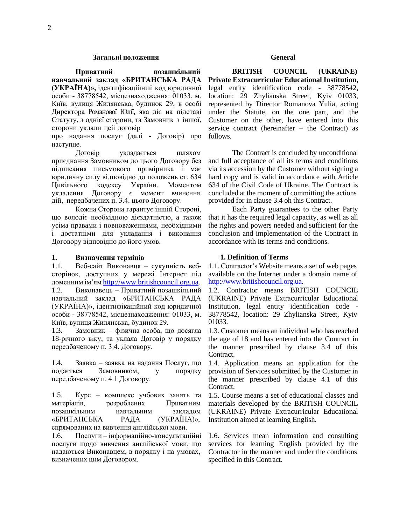### **Загальні положення General**

**Приватний позашкільний навчальний заклад «БРИТАНСЬКА РАДА (УКРАЇНА)»,** ідентифікаційний код юридичної особи - 38778542, місцезнаходження: 01033, м. Київ, вулиця Жилянська, будинок 29, в особі Директора Романової Юлії, яка діє на підставі Статуту, з однієї сторони, та Замовник з іншої, сторони уклали цей договір

про надання послуг (далі - Договір) про наступне.

Договір укладається шляхом приєднання Замовником до цього Договору без підписання письмового примірника і має юридичну силу відповідно до положень ст. 634 Цивільного кодексу України. Моментом укладення Договору є момент вчинення дій, передбачених п. 3.4. цього Договору.

Кожна Сторона гарантує іншій Стороні, що володіє необхідною дієздатністю, а також усіма правами і повноваженнями, необхідними і достатніми для укладання і виконання Договору відповідно до його умов.

### **1. Визначення термінів**

1.1. Веб-сайт Виконавця – сукупність вебсторінок, доступних у мережі Інтернет під доменним ім'ям [http://www.britishcouncil.org.ua.](http://www.britishcouncil.org.ua/) 1.2. Виконавець – Приватний позашкільний навчальний заклад «БРИТАНСЬКА РАДА (УКРАЇНА)», ідентифікаційний код юридичної особи - 38778542, місцезнаходження: 01033, м. Київ, вулиця Жилянська, будинок 29.

1.3. Замовник – фізична особа, що досягла 18-річного віку, та уклала Договір у порядку передбаченому п. 3.4. Договору.

1.4. Заявка – заявка на надання Послуг, що подається Замовником, у порядку передбаченому п. 4.1 Договору.

1.5. Курс – комплекс учбових занять та матеріалів, розроблених Приватним позашкільним навчальним закладом «БРИТАНСЬКА РАДА (УКРАЇНА)», спрямованих на вивчення англійської мови.

1.6. Послуги – інформаційно-консультаційні послуги щодо вивчення англійської мови, що надаються Виконавцем, в порядку і на умовах, визначених цим Договором.

**BRITISH COUNCIL (UKRAINE) Private Extracurricular Educational Institution,**  legal entity identification code - 38778542, location: 29 Zhylianska Street, Kyiv 01033, represented by Director Romanova Yulia, acting under the Statute, on the one part, and the Customer on the other, have entered into this service contract (hereinafter – the Contract) as follows.

The Contract is concluded by unconditional and full acceptance of all its terms and conditions via its accession by the Customer without signing a hard copy and is valid in accordance with Article 634 of the Civil Code of Ukraine. The Contract is concluded at the moment of committing the actions provided for in clause 3.4 oh this Contract.

Each Party guarantees to the other Party that it has the required legal capacity, as well as all the rights and powers needed and sufficient for the conclusion and implementation of the Contract in accordance with its terms and conditions.

### **1. Definition of Terms**

1.1. Contractor's Website means a set of web pages available on the Internet under a domain name of [http://www.britishcouncil.org.ua.](http://www.britishcouncil.org.ua/)

1.2. Contractor means BRITISH COUNCIL (UKRAINE) Private Extracurricular Educational Institution, legal entity identification code - 38778542, location: 29 Zhylianska Street, Kyiv 01033.

1.3. Customer means an individual who has reached the age of 18 and has entered into the Contract in the manner prescribed by clause 3.4 of this Contract.

1.4. Application means an application for the provision of Services submitted by the Customer in the manner prescribed by clause 4.1 of this Contract.

1.5. Course means a set of educational classes and materials developed by the BRITISH COUNCIL (UKRAINE) Private Extracurricular Educational Institution aimed at learning English.

1.6. Services mean information and consulting services for learning English provided by the Contractor in the manner and under the conditions specified in this Contract.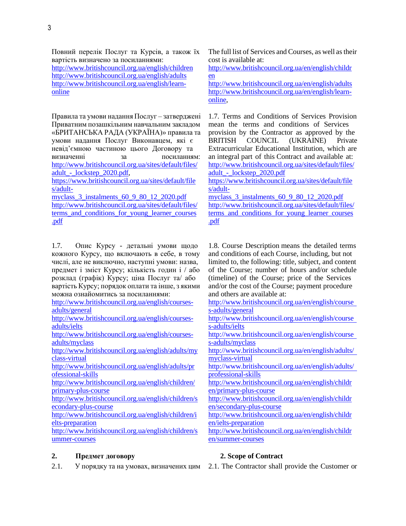Повний перелік Послуг та Курсів, а також їх вартість визначено за посиланнями: <http://www.britishcouncil.org.ua/english/children> <http://www.britishcouncil.org.ua/english/adults> [http://www.britishcouncil.org.ua/english/learn](http://www.britishcouncil.org.ua/english/learn-online)[online](http://www.britishcouncil.org.ua/english/learn-online)

Правила та умови надання Послуг – затверджені Приватним позашкільним навчальним закладом «БРИТАНСЬКА РАДА (УКРАЇНА)» правила та умови надання Послуг Виконавцем, які є невід'ємною частиною цього Договору та визначенні за посиланням: [http://www.britishcouncil.org.ua/sites/default/files/](http://www.britishcouncil.org.ua/sites/default/files/adult_-_lockstep_2020.pdf) [adult\\_-\\_lockstep\\_2020.pdf,](http://www.britishcouncil.org.ua/sites/default/files/adult_-_lockstep_2020.pdf) [https://www.britishcouncil.org.ua/sites/default/file](https://www.britishcouncil.org.ua/sites/default/files/adult-myclass_3_instalments_60_9_80_12_2020.pdf) [s/adult](https://www.britishcouncil.org.ua/sites/default/files/adult-myclass_3_instalments_60_9_80_12_2020.pdf)[myclass\\_3\\_instalments\\_60\\_9\\_80\\_12\\_2020.pdf](https://www.britishcouncil.org.ua/sites/default/files/adult-myclass_3_instalments_60_9_80_12_2020.pdf) [http://www.britishcouncil.org.ua/sites/default/files/](http://www.britishcouncil.org.ua/sites/default/files/terms_and_conditions_for_young_learner_courses.pdf) terms and conditions for young learner courses

[.pdf](http://www.britishcouncil.org.ua/sites/default/files/terms_and_conditions_for_young_learner_courses.pdf)

1.7. Опис Курсу - детальні умови щодо кожного Курсу, що включають в себе, в тому числі, але не виключно, наступні умови: назва, предмет і зміст Курсу; кількість годин і / або розклад (графік) Курсу; ціна Послуг та/ або вартість Курсу; порядок оплати та інше, з якими можна ознайомитись за посиланнями:

[http://www.britishcouncil.org.ua/english/courses](http://www.britishcouncil.org.ua/english/courses-adults/general)[adults/general](http://www.britishcouncil.org.ua/english/courses-adults/general)

[http://www.britishcouncil.org.ua/english/courses](http://www.britishcouncil.org.ua/english/courses-adults/ielts)[adults/ielts](http://www.britishcouncil.org.ua/english/courses-adults/ielts)

[http://www.britishcouncil.org.ua/english/courses](http://www.britishcouncil.org.ua/english/courses-adults/myclass)[adults/myclass](http://www.britishcouncil.org.ua/english/courses-adults/myclass)

[http://www.britishcouncil.org.ua/english/adults/my](http://www.britishcouncil.org.ua/english/adults/myclass-virtual) [class-virtual](http://www.britishcouncil.org.ua/english/adults/myclass-virtual)

[http://www.britishcouncil.org.ua/english/adults/pr](http://www.britishcouncil.org.ua/english/adults/professional-skills) [ofessional-skills](http://www.britishcouncil.org.ua/english/adults/professional-skills)

[http://www.britishcouncil.org.ua/english/children/](http://www.britishcouncil.org.ua/english/children/primary-plus-course) [primary-plus-course](http://www.britishcouncil.org.ua/english/children/primary-plus-course)

[http://www.britishcouncil.org.ua/english/children/s](http://www.britishcouncil.org.ua/english/children/secondary-plus-course) [econdary-plus-course](http://www.britishcouncil.org.ua/english/children/secondary-plus-course)

[http://www.britishcouncil.org.ua/english/children/i](http://www.britishcouncil.org.ua/english/children/ielts-preparation) [elts-preparation](http://www.britishcouncil.org.ua/english/children/ielts-preparation)

[http://www.britishcouncil.org.ua/english/children/s](http://www.britishcouncil.org.ua/english/children/summer-courses) [ummer-courses](http://www.britishcouncil.org.ua/english/children/summer-courses)

# **2. Предмет договору**

2.1. У порядку та на умовах, визначених цим

The full list of Services and Courses, as well astheir cost is available at:

[http://www.britishcouncil.org.ua/en/english/childr](http://www.britishcouncil.org.ua/en/english/children) [en](http://www.britishcouncil.org.ua/en/english/children)

<http://www.britishcouncil.org.ua/en/english/adults> [http://www.britishcouncil.org.ua/en/english/learn](http://www.britishcouncil.org.ua/en/english/learn-online)[online,](http://www.britishcouncil.org.ua/en/english/learn-online)

1.7. Terms and Conditions of Services Provision mean the terms and conditions of Services provision by the Contractor as approved by the BRITISH COUNCIL (UKRAINE) Private Extracurricular Educational Institution, which are an integral part of this Contract and available at: [http://www.britishcouncil.org.ua/sites/default/files/](http://www.britishcouncil.org.ua/sites/default/files/adult_-_lockstep_2020.pdf) adult - lockstep 2020.pdf

[https://www.britishcouncil.org.ua/sites/default/file](https://www.britishcouncil.org.ua/sites/default/files/adult-myclass_3_instalments_60_9_80_12_2020.pdf) [s/adult-](https://www.britishcouncil.org.ua/sites/default/files/adult-myclass_3_instalments_60_9_80_12_2020.pdf)

[myclass\\_3\\_instalments\\_60\\_9\\_80\\_12\\_2020.pdf](https://www.britishcouncil.org.ua/sites/default/files/adult-myclass_3_instalments_60_9_80_12_2020.pdf) [http://www.britishcouncil.org.ua/sites/default/files/](http://www.britishcouncil.org.ua/sites/default/files/terms_and_conditions_for_young_learner_courses.pdf) terms and conditions for young learner courses [.pdf](http://www.britishcouncil.org.ua/sites/default/files/terms_and_conditions_for_young_learner_courses.pdf)

1.8. Course Description means the detailed terms and conditions of each Course, including, but not limited to, the following: title, subject, and content of the Course; number of hours and/or schedule (timeline) of the Course; price of the Services and/or the cost of the Course; payment procedure and others are available at:

[http://www.britishcouncil.org.ua/en/english/course](http://www.britishcouncil.org.ua/en/english/courses-adults/general) [s-adults/general](http://www.britishcouncil.org.ua/en/english/courses-adults/general)

[http://www.britishcouncil.org.ua/en/english/course](http://www.britishcouncil.org.ua/en/english/courses-adults/ielts) [s-adults/ielts](http://www.britishcouncil.org.ua/en/english/courses-adults/ielts)

[http://www.britishcouncil.org.ua/en/english/course](http://www.britishcouncil.org.ua/en/english/courses-adults/myclass) [s-adults/myclass](http://www.britishcouncil.org.ua/en/english/courses-adults/myclass)

[http://www.britishcouncil.org.ua/en/english/adults/](http://www.britishcouncil.org.ua/en/english/adults/myclass-virtual) [myclass-virtual](http://www.britishcouncil.org.ua/en/english/adults/myclass-virtual)

[http://www.britishcouncil.org.ua/en/english/adults/](http://www.britishcouncil.org.ua/en/english/adults/professional-skills) [professional-skills](http://www.britishcouncil.org.ua/en/english/adults/professional-skills)

[http://www.britishcouncil.org.ua/en/english/childr](http://www.britishcouncil.org.ua/en/english/children/primary-plus-course) [en/primary-plus-course](http://www.britishcouncil.org.ua/en/english/children/primary-plus-course)

[http://www.britishcouncil.org.ua/en/english/childr](http://www.britishcouncil.org.ua/en/english/children/secondary-plus-course) [en/secondary-plus-course](http://www.britishcouncil.org.ua/en/english/children/secondary-plus-course)

[http://www.britishcouncil.org.ua/en/english/childr](http://www.britishcouncil.org.ua/en/english/children/ielts-preparation) [en/ielts-preparation](http://www.britishcouncil.org.ua/en/english/children/ielts-preparation)

[http://www.britishcouncil.org.ua/en/english/childr](http://www.britishcouncil.org.ua/en/english/children/summer-courses) [en/summer-courses](http://www.britishcouncil.org.ua/en/english/children/summer-courses)

# **2. Scope of Contract**

2.1. The Contractor shall provide the Customer or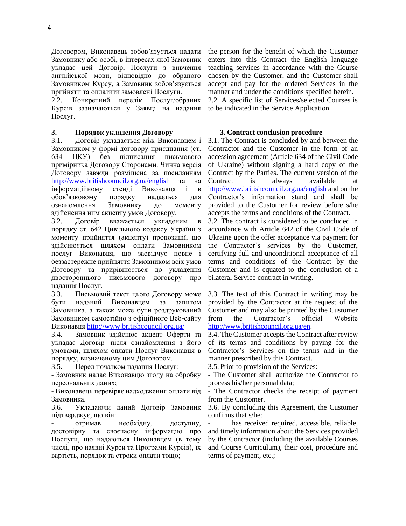Договором, Виконавець зобов'язується надати Замовнику або особі, в інтересах якої Замовник укладає цей Договір, Послуги з вивчення англійської мови, відповідно до обраного Замовником Курсу, а Замовник зобов'язується прийняти та оплатити замовлені Послуги.

2.2. Конкретний перелік Послуг/обраних Курсів зазначаються у Заявці на надання Послуг.

### **3. Порядок укладення Договору 3. Contract conclusion procedure**

3.1. Договір укладається між Виконавцем і Замовником у формі договору приєднання (ст. 634 ЦКУ) без підписання письмового примірника Договору Сторонами. Чинна версія Договору завжди розміщена за посиланням <http://www.britishcouncil.org.ua/english> та на інформаційному стенді Виконавця і в обов'язковому порядку надається для ознайомлення Замовнику до моменту здійснення ним акцепту умов Договору.

3.2. Договір вважається укладеним в порядку ст. 642 Цивільного кодексу України з моменту прийняття (акцепту) пропозиції, що здійснюється шляхом оплати Замовником послуг Виконавця, що засвідчує повне і беззастережне прийняття Замовником всіх умов Договору та прирівнюється до укладення двостороннього письмового договору про надання Послуг.

3.3. Письмовий текст цього Договору може бути наданий Виконавцем за запитом Замовника, а також може бути роздрукований Замовником самостійно з офіційного Веб-сайту Виконавця<http://www.britishcouncil.org.ua/>

3.4. Замовник здійснює акцепт Оферти та укладає Договір після ознайомлення з його умовами, шляхом оплати Послуг Виконавця в порядку, визначеному цим Договором.

3.5. Перед початком надання Послуг: 3.5. Prior to provision of the Services:

- Замовник надає Виконавцю згоду на обробку персональних даних;

- Виконавець перевіряє надходження оплати від Замовника.

3.6. Укладаючи даний Договір Замовник підтверджує, що він:

- отримав необхідну, доступну, достовірну та своєчасну інформацію про Послуги, що надаються Виконавцем (в тому числі, про наявні Курси та Програми Курсів), їх вартість, порядок та строки оплати тощо;

the person for the benefit of which the Customer enters into this Contract the English language teaching services in accordance with the Course chosen by the Customer, and the Customer shall accept and pay for the ordered Services in the manner and under the conditions specified herein. 2.2. A specific list of Services/selected Courses is

to be indicated in the Service Application.

3.1. The Contract is concluded by and between the Contractor and the Customer in the form of an accession agreement (Article 634 of the Civil Code of Ukraine) without signing a hard copy of the Contract by the Parties. The current version of the Contract is always available at <http://www.britishcouncil.org.ua/english> and on the Contractor's information stand and shall be provided to the Customer for review before s/he accepts the terms and conditions of the Contract.

3.2. The contract is considered to be concluded in accordance with Article 642 of the Civil Code of Ukraine upon the offer acceptance via payment for the Contractor's services by the Customer, certifying full and unconditional acceptance of all terms and conditions of the Contract by the Customer and is equated to the conclusion of a bilateral Service contract in writing.

3.3. The text of this Contract in writing may be provided by the Contractor at the request of the Customer and may also be printed by the Customer from the Contractor's official Website [http://www.britishcouncil.org.ua/en.](http://www.britishcouncil.org.ua/en)

3.4. The Customer accepts the Contract after review of its terms and conditions by paying for the Contractor's Services on the terms and in the manner prescribed by this Contract.

- The Customer shall authorize the Contractor to process his/her personal data;

- The Contractor checks the receipt of payment from the Customer.

3.6. By concluding this Agreement, the Customer confirms that s/he:

has received required, accessible, reliable, and timely information about the Services provided by the Contractor (including the available Courses and Course Curriculum), their cost, procedure and terms of payment, etc.;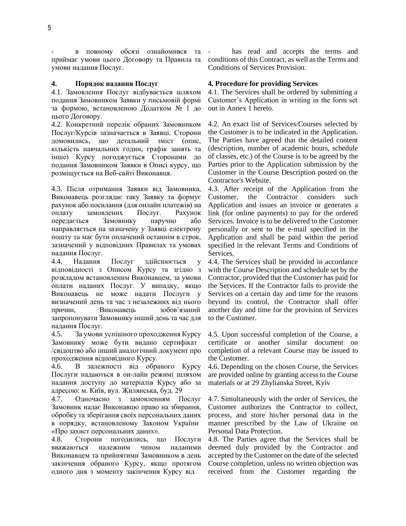в повному обсязі ознайомився та приймає умови цього Договору та Правила та умови надання Послуг.

4.1. Замовлення Послуг відбувається шляхом подання Замовником Заявки у письмовій формі за формою, встановленою Додатком № 1 до цього Договору.

4.2. Конкретний перелік обраних Замовником Послуг/Курсів зазначається в Заявці. Сторони домовились, що детальний зміст (опис, кількість навчальних годин, графік занять та інше) Курсу погоджується Сторонами до подання Замовником Заявки в Описі курсу, що розміщується на Веб-сайті Виконавця.

4.3. Після отримання Заявки від Замовника, Виконавець розглядає таку Заявку та формує рахунок або посилання (для онлайн платежів) на оплату замовлених Послуг. Рахунок передається Замовнику наручно або направляється на зазначену у Заявці електрону пошту та має бути оплачений останнім в строк, зазначений у відповідних Правилах та умовах надання Послуг.

4.4. Надання Послуг здійснюється у відповідності з Описом Курсу та згідно з розкладом встановленим Виконавцем, за умови оплати наданих Послуг. У випадку, якщо Виконавець не може надати Послуги у визначений день та час з незалежних від нього причин, Виконавець зобов'язаний запропонувати Замовнику інший день та час для надання Послуг.

4.5. За умови успішного проходження Курсу Замовнику може бути видано сертифікат /свідоцтво або інший аналогічний документ про проходження відповідного Курсу.

4.6. В залежності від обраного Курсу Послуги надаються в он-лайн режимі шляхом надання доступу до матеріалів Курсу або за адресою: м. Київ, вул. Жилянська, буд. 29

4.7. Одночасно з замовленням Послуг Замовник надає Виконавцю право на збирання, обробку та зберігання своїх персональних даних в порядку, встановленому Законом України «Про захист персональних даних».

4.8. Сторони погодились, що Послуги вважаються належним чином наданими Виконавцем та прийнятими Замовником в день закінчення обраного Курсу, якщо протягом одного дня з моменту закінчення Курсу від

has read and accepts the terms and conditions of this Contract, as well as the Terms and Conditions of Services Provision.

### **4. Порядок надання Послуг 4. Procedure for providing Services**

4.1. The Services shall be ordered by submitting a Customer's Application in writing in the form set out in Annex 1 hereto.

4.2. An exact list of Services/Courses selected by the Customer is to be indicated in the Application. The Parties have agreed that the detailed content (description, number of academic hours, schedule of classes, etc.) of the Course is to be agreed by the Parties prior to the Application submission by the Customer in the Course Description posted on the Contractor's Website.

4.3. After receipt of the Application from the Customer, the Contractor considers such Application and issues an invoice or generates a link (for online payments) to pay for the ordered Services. Invoice is to be delivered to the Customer personally or sent to the e-mail specified in the Application and shall be paid within the period specified in the relevant Terms and Conditions of Services.

4.4. The Services shall be provided in accordance with the Course Description and schedule set by the Contractor, provided that the Customer has paid for the Services. If the Contractor fails to provide the Services on a certain day and time for the reasons beyond its control, the Contractor shall offer another day and time for the provision of Services to the Customer.

4.5. Upon successful completion of the Course, a certificate or another similar document on completion of a relevant Course may be issued to the Customer.

4.6. Depending on the chosen Course, the Services are provided online by granting access to the Course materials or at 29 Zhylianska Street, Kyiv

4.7. Simultaneously with the order of Services, the Customer authorizes the Contractor to collect, process, and store his/her personal data in the manner prescribed by the Law of Ukraine on Personal Data Protection.

4.8. The Parties agree that the Services shall be deemed duly provided by the Contractor and accepted by the Customer on the date of the selected Course completion, unless no written objection was received from the Customer regarding the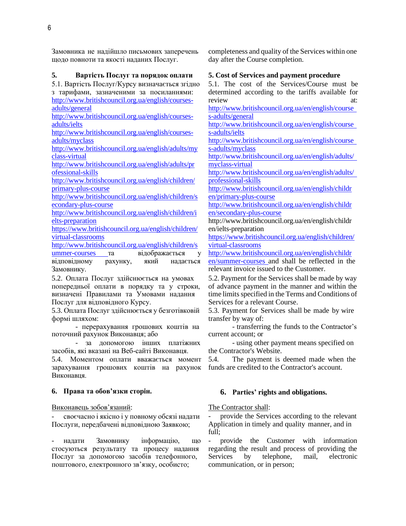Замовника не надійшло письмових заперечень щодо повноти та якості наданих Послуг.

### **5. Вартість Послуг та порядок оплати 5. Cost of Services and payment procedure**

5.1. Вартість Послуг/Курсу визначається згідно з тарифами, зазначеними за посиланнями: [http://www.britishcouncil.org.ua/english/courses](http://www.britishcouncil.org.ua/english/courses-adults/general)[adults/general](http://www.britishcouncil.org.ua/english/courses-adults/general)

[http://www.britishcouncil.org.ua/english/courses](http://www.britishcouncil.org.ua/english/courses-adults/ielts)[adults/ielts](http://www.britishcouncil.org.ua/english/courses-adults/ielts)

[http://www.britishcouncil.org.ua/english/courses](http://www.britishcouncil.org.ua/english/courses-adults/myclass)[adults/myclass](http://www.britishcouncil.org.ua/english/courses-adults/myclass)

[http://www.britishcouncil.org.ua/english/adults/my](http://www.britishcouncil.org.ua/english/adults/myclass-virtual) [class-virtual](http://www.britishcouncil.org.ua/english/adults/myclass-virtual)

[http://www.britishcouncil.org.ua/english/adults/pr](http://www.britishcouncil.org.ua/english/adults/professional-skills) [ofessional-skills](http://www.britishcouncil.org.ua/english/adults/professional-skills)

[http://www.britishcouncil.org.ua/english/children/](http://www.britishcouncil.org.ua/english/children/primary-plus-course) [primary-plus-course](http://www.britishcouncil.org.ua/english/children/primary-plus-course)

[http://www.britishcouncil.org.ua/english/children/s](http://www.britishcouncil.org.ua/english/children/secondary-plus-course) [econdary-plus-course](http://www.britishcouncil.org.ua/english/children/secondary-plus-course)

[http://www.britishcouncil.org.ua/english/children/i](http://www.britishcouncil.org.ua/english/children/ielts-preparation) [elts-preparation](http://www.britishcouncil.org.ua/english/children/ielts-preparation)

[https://www.britishcouncil.org.ua/english/children/](https://www.britishcouncil.org.ua/english/children/virtual-classrooms) [virtual-classrooms](https://www.britishcouncil.org.ua/english/children/virtual-classrooms)

[http://www.britishcouncil.org.ua/english/children/s](http://www.britishcouncil.org.ua/english/children/summer-courses)

[ummer-courses](http://www.britishcouncil.org.ua/english/children/summer-courses) та відображається у відповідному рахунку, який надається Замовнику.

5.2. Оплата Послуг здійснюється на умовах попередньої оплати в порядку та у строки, визначені Правилами та Умовами надання Послуг для відповідного Курсу.

5.3. Оплата Послуг здійснюється у безготівковій формі шляхом:

- перерахування грошових коштів на поточний рахунок Виконавця; або

- за допомогою інших платіжних засобів, які вказані на Веб-сайті Виконавця.

5.4. Моментом оплати вважається момент зарахування грошових коштів на рахунок Виконавця.

### **6. Права та обов'язки сторін. 6. Parties' rights and obligations.**

Виконавець зобов'язаний: The Contractor shall:

- своєчасно і якісно і у повному обсязі надати Послуги, передбачені відповідною Заявкою;

- надати Замовнику інформацію, що стосуються результату та процесу надання Послуг за допомогою засобів телефонного, поштового, електронного зв'язку, особисто;

completeness and quality of the Services within one day after the Course completion.

5.1. The cost of the Services/Course must be determined according to the tariffs available for review at:

[http://www.britishcouncil.org.ua/en/english/course](http://www.britishcouncil.org.ua/en/english/courses-adults/general) [s-adults/general](http://www.britishcouncil.org.ua/en/english/courses-adults/general)

[http://www.britishcouncil.org.ua/en/english/course](http://www.britishcouncil.org.ua/en/english/courses-adults/ielts) [s-adults/ielts](http://www.britishcouncil.org.ua/en/english/courses-adults/ielts)

[http://www.britishcouncil.org.ua/en/english/course](http://www.britishcouncil.org.ua/en/english/courses-adults/myclass) [s-adults/myclass](http://www.britishcouncil.org.ua/en/english/courses-adults/myclass)

[http://www.britishcouncil.org.ua/en/english/adults/](http://www.britishcouncil.org.ua/en/english/adults/myclass-virtual) [myclass-virtual](http://www.britishcouncil.org.ua/en/english/adults/myclass-virtual)

[http://www.britishcouncil.org.ua/en/english/adults/](http://www.britishcouncil.org.ua/en/english/adults/professional-skills) [professional-skills](http://www.britishcouncil.org.ua/en/english/adults/professional-skills)

[http://www.britishcouncil.org.ua/en/english/childr](http://www.britishcouncil.org.ua/en/english/children/primary-plus-course) [en/primary-plus-course](http://www.britishcouncil.org.ua/en/english/children/primary-plus-course)

[http://www.britishcouncil.org.ua/en/english/childr](http://www.britishcouncil.org.ua/en/english/children/secondary-plus-course) [en/secondary-plus-course](http://www.britishcouncil.org.ua/en/english/children/secondary-plus-course)

<http://www.britishcouncil.org.ua/en/english/childr> en/ielts-preparation

[https://www.britishcouncil.org.ua/english/children/](https://www.britishcouncil.org.ua/english/children/virtual-classrooms) [virtual-classrooms](https://www.britishcouncil.org.ua/english/children/virtual-classrooms)

[http://www.britishcouncil.org.ua/en/english/childr](http://www.britishcouncil.org.ua/en/english/children/summer-courses)

[en/summer-courses](http://www.britishcouncil.org.ua/en/english/children/summer-courses) and shall be reflected in the relevant invoice issued to the Customer.

5.2. Payment for the Services shall be made by way of advance payment in the manner and within the time limits specified in the Terms and Conditions of Services for a relevant Course.

5.3. Payment for Services shall be made by wire transfer by way of:

- transferring the funds to the Contractor's current account; or

- using other payment means specified on the Contractor's Website.

5.4. The payment is deemed made when the funds are credited to the Contractor's account.

provide the Services according to the relevant Application in timely and quality manner, and in full;

- provide the Customer with information regarding the result and process of providing the Services by telephone, mail, electronic communication, or in person;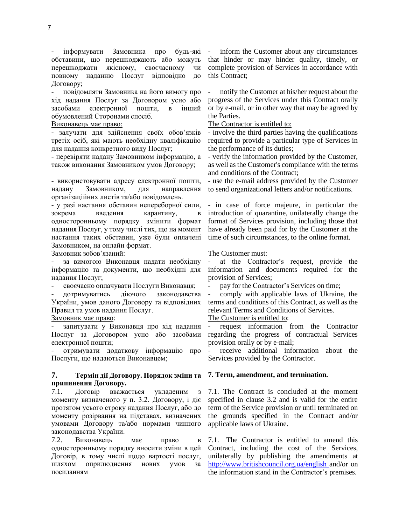інформувати Замовника про будь-які обставини, що перешкоджають або можуть перешкоджати якісному, своєчасному чи повному наданню Послуг відповідно до Договору;

- повідомляти Замовника на його вимогу про хід надання Послуг за Договором усно або засобами електронної пошти, в інший обумовлений Сторонами спосіб.

- залучати для здійснення своїх обов'язків третіх осіб, які мають необхідну кваліфікацію для надання конкретного виду Послуг;

- перевіряти надану Замовником інформацію, а також виконання Замовником умов Договору;

- використовувати адресу електронної пошти, надану Замовником, для направлення організаційних листів та/або повідомлень.

- у разі настання обставин непереборної сили, зокрема введення карантину, в односторонньому порядку змінити формат надання Послуг, у тому числі тих, що на момент настання таких обставин, уже були оплачені Замовником, на онлайн формат.

Замовник зобов'язаний: The Customer must:

за вимогою Виконавця надати необхідну інформацію та документи, що необхідні для надання Послуг;

своєчасно оплачувати Послуги Виконавця;

- дотримуватись діючого законодавства України, умов даного Договору та відповідних Правил та умов надання Послуг.

запитувати у Виконавця про хід надання Послуг за Договором усно або засобами електронної пошти;

- отримувати додаткову інформацію про Послуги, що надаються Виконавцем;

### **7. Термін дії Договору. Порядок зміни та припинення Договору.**

7.1. Договір вважається укладеним з моменту визначеного у п. 3.2. Договору, і діє протягом усього строку надання Послуг, або до моменту розірвання на підставах, визначених умовами Договору та/або нормами чинного законодавства України.

7.2. Виконавець має право в односторонньому порядку вносити зміни в цей Договір, в тому числі щодо вартості послуг, шляхом оприлюднення нових умов за посиланням

inform the Customer about any circumstances that hinder or may hinder quality, timely, or complete provision of Services in accordance with this Contract;

- notify the Customer at his/her request about the progress of the Services under this Contract orally or by e-mail, or in other way that may be agreed by the Parties.

Виконавець має право: The Contractor is entitled to:

- involve the third parties having the qualifications required to provide a particular type of Services in the performance of its duties;

- verify the information provided by the Customer, as well as the Customer's compliance with the terms and conditions of the Contract;

- use the e-mail address provided by the Customer to send organizational letters and/or notifications.

- in case of force majeure, in particular the introduction of quarantine, unilaterally change the format of Services provision, including those that have already been paid for by the Customer at the time of such circumstances, to the online format.

at the Contractor's request, provide the information and documents required for the provision of Services;<br>- pay for the Contractor's Services on time:

- comply with applicable laws of Ukraine, the terms and conditions of this Contract, as well as the relevant Terms and Conditions of Services.

**Замовник має право:** The Customer is entitled to:

request information from the Contractor regarding the progress of contractual Services provision orally or by e-mail;

receive additional information about the Services provided by the Contractor.

## **7. Term, amendment, and termination.**

7.1. The Contract is concluded at the moment specified in clause 3.2 and is valid for the entire term of the Service provision or until terminated on the grounds specified in the Contract and/or applicable laws of Ukraine.

7.1. The Contractor is entitled to amend this Contract, including the cost of the Services, unilaterally by publishing the amendments at [http://www.britishcouncil.org.ua/english a](http://www.britishcouncil.org.ua/english)nd/or on the information stand in the Contractor's premises.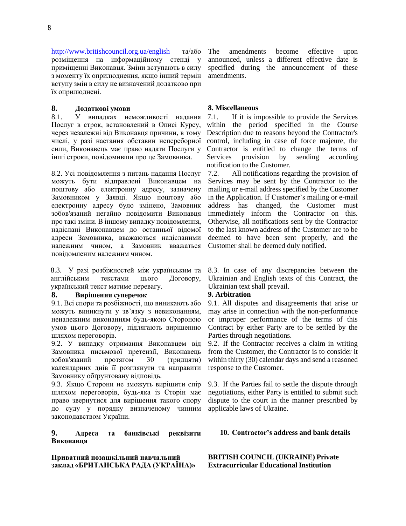<http://www.britishcouncil.org.ua/english> та/або розміщення на інформаційному стенді у приміщенні Виконавця. Зміни вступають в силу з моменту їх оприлюднення, якщо інший термін вступу змін в силу не визначений додатково при їх оприлюднені.

## **8. Додаткові умови 8. Miscellaneous**

8.1. У випадках неможливості надання Послуг в строк, встановлений в Описі Курсу, через незалежні від Виконавця причини, в тому числі, у разі настання обставин непереборної сили, Виконавець має право надати Послуги у інші строки, повідомивши про це Замовника.

8.2. Усі повідомлення з питань надання Послуг можуть бути відправлені Виконавцем на поштову або електронну адресу, зазначену Замовником у Заявці. Якщо поштову або електронну адресу було змінено, Замовник зобов'язаний негайно повідомити Виконавця про такі зміни. В іншому випадку повідомлення, надіслані Виконавцем до останньої відомої адреси Замовника, вважаються надісланими належним чином, а Замовник вважаться повідомленим належним чином.

8.3. У разі розбіжностей між українським та англійським текстами цього Договору, український текст матиме перевагу.

### **8. Вирішення суперечок 9. Arbitration**

9.1. Всі спори та розбіжності, що виникають або можуть виникнути у зв'язку з невиконанням, неналежним виконанням будь-якою Стороною умов цього Договору, підлягають вирішенню шляхом переговорів.

9.2. У випадку отримання Виконавцем від Замовника письмової претензії, Виконавець зобов'язаний протягом 30 (тридцяти) календарних днів її розглянути та направити Замовнику обґрунтовану відповідь.

9.3. Якщо Сторони не зможуть вирішити спір шляхом переговорів, будь-яка із Сторін має право звернутися для вирішення такого спору до суду у порядку визначеному чинним законодавством України.

### **9. Адреса та банківські реквізити Виконавця**

**Приватний позашкільний навчальний заклад «БРИТАНСЬКА РАДА (УКРАЇНА)»** The amendments become effective upon announced, unless a different effective date is specified during the announcement of these amendments.

7.1. If it is impossible to provide the Services within the period specified in the Course Description due to reasons beyond the Contractor's control, including in case of force majeure, the Contractor is entitled to change the terms of Services provision by sending according notification to the Customer.

7.2. All notifications regarding the provision of Services may be sent by the Contractor to the mailing or e-mail address specified by the Customer in the Application. If Customer's mailing or e-mail address has changed, the Customer must immediately inform the Contractor on this. Otherwise, all notifications sent by the Contractor to the last known address of the Customer are to be deemed to have been sent properly, and the Customer shall be deemed duly notified.

8.3. In case of any discrepancies between the Ukrainian and English texts of this Contract, the Ukrainian text shall prevail.

9.1. All disputes and disagreements that arise or may arise in connection with the non-performance or improper performance of the terms of this Contract by either Party are to be settled by the Parties through negotiations.

9.2. If the Contractor receives a claim in writing from the Customer, the Contractor is to consider it within thirty (30) calendar days and send a reasoned response to the Customer.

9.3. If the Parties fail to settle the dispute through negotiations, either Party is entitled to submit such dispute to the court in the manner prescribed by applicable laws of Ukraine.

### **10. Contractor's address and bank details**

**BRITISH COUNCIL (UKRAINE) Private Extracurricular Educational Institution**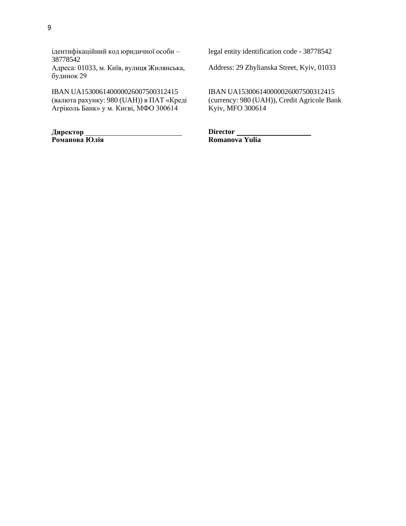ідентифікаційний код юридичної особи – 38778542

Адреса: 01033, м. Київ, вулиця Жилянська, будинок 29

IBAN UA153006140000026007500312415 (валюта рахунку: 980 (UAH)) в ПАТ «Креді Агріколь Банк» у м. Києві, МФО 300614

**Директор Романова Юлія** legal entity identification code - 38778542

Address: 29 Zhylianska Street, Kyiv, 01033

IBAN UA153006140000026007500312415 (currency: 980 (UAH)), Credit Agricole Bank Kyiv, MFO 300614

Director\_ **Romanova Yulia**